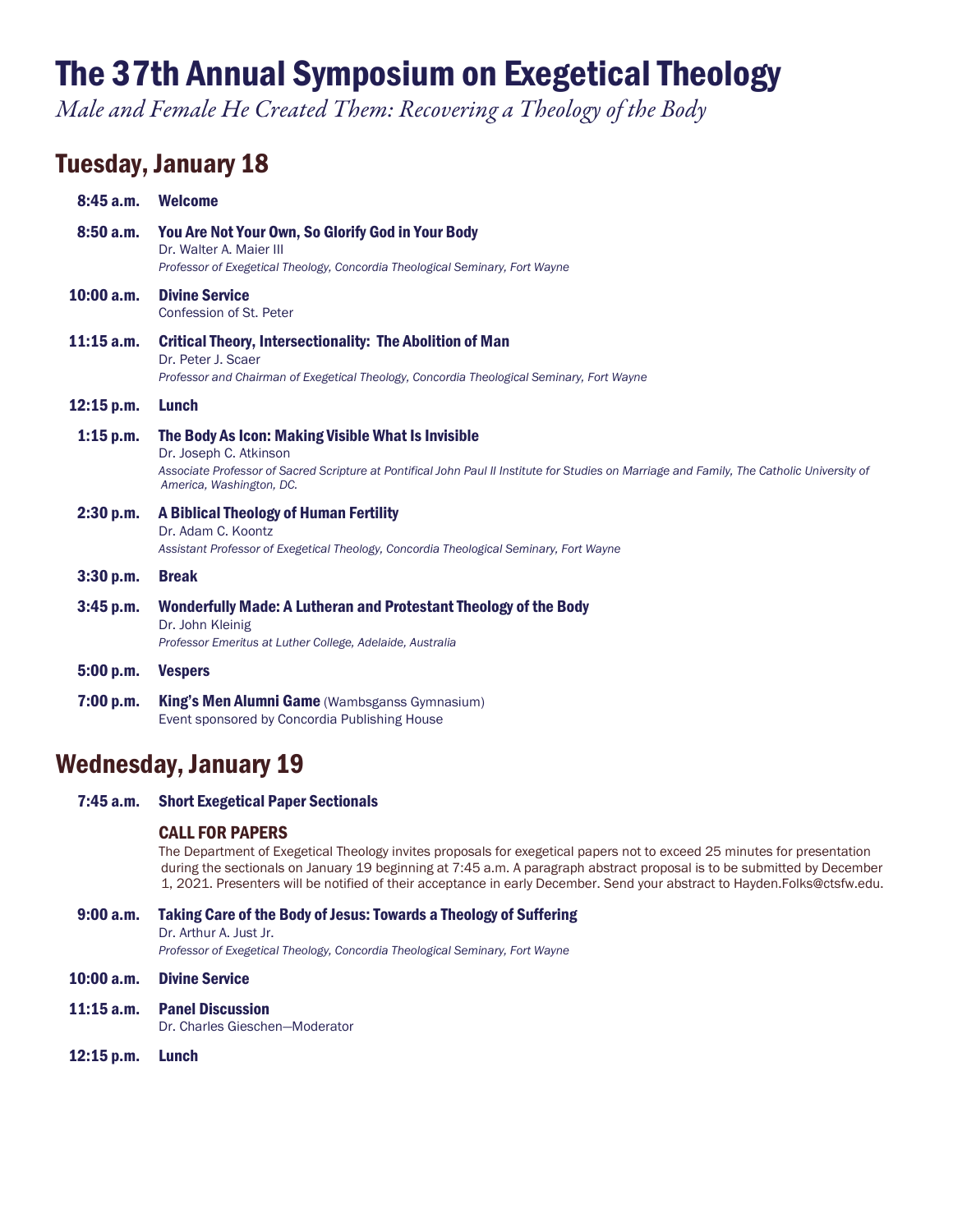# The 37th Annual Symposium on Exegetical Theology

*Male and Female He Created Them: Recovering a Theology of the Body*

## Tuesday, January 18

| 8:45a.m.     | <b>Welcome</b>                                                                                                                                                                                                                                          |
|--------------|---------------------------------------------------------------------------------------------------------------------------------------------------------------------------------------------------------------------------------------------------------|
| 8:50a.m.     | You Are Not Your Own, So Glorify God in Your Body<br>Dr. Walter A. Maier III<br>Professor of Exegetical Theology, Concordia Theological Seminary, Fort Wayne                                                                                            |
| $10:00$ a.m. | <b>Divine Service</b><br>Confession of St. Peter                                                                                                                                                                                                        |
| $11:15$ a.m. | <b>Critical Theory, Intersectionality: The Abolition of Man</b><br>Dr. Peter J. Scaer<br>Professor and Chairman of Exegetical Theology, Concordia Theological Seminary, Fort Wayne                                                                      |
| $12:15$ p.m. | Lunch                                                                                                                                                                                                                                                   |
| $1:15$ p.m.  | The Body As Icon: Making Visible What Is Invisible<br>Dr. Joseph C. Atkinson<br>Associate Professor of Sacred Scripture at Pontifical John Paul II Institute for Studies on Marriage and Family, The Catholic University of<br>America, Washington, DC. |
| 2:30 p.m.    | A Biblical Theology of Human Fertility<br>Dr. Adam C. Koontz<br>Assistant Professor of Exegetical Theology, Concordia Theological Seminary, Fort Wayne                                                                                                  |
| 3:30 p.m.    | <b>Break</b>                                                                                                                                                                                                                                            |
| 3:45 p.m.    | Wonderfully Made: A Lutheran and Protestant Theology of the Body<br>Dr. John Kleinig<br>Professor Emeritus at Luther College, Adelaide, Australia                                                                                                       |
| 5:00 p.m.    | <b>Vespers</b>                                                                                                                                                                                                                                          |
| 7:00 p.m.    | King's Men Alumni Game (Wambsganss Gymnasium)<br>Event sponsored by Concordia Publishing House                                                                                                                                                          |

### Wednesday, January 19

7:45 a.m. Short Exegetical Paper Sectionals

#### CALL FOR PAPERS

The Department of Exegetical Theology invites proposals for exegetical papers not to exceed 25 minutes for presentation during the sectionals on January 19 beginning at 7:45 a.m. A paragraph abstract proposal is to be submitted by December 1, 2021. Presenters will be notified of their acceptance in early December. Send your abstract to Hayden.Folks@ctsfw.edu.

- 9:00 a.m. Taking Care of the Body of Jesus: Towards a Theology of Suffering Dr. Arthur A. Just Jr. *Professor of Exegetical Theology, Concordia Theological Seminary, Fort Wayne*
- 10:00 a.m. Divine Service
- 11:15 a.m. Panel Discussion Dr. Charles Gieschen—Moderator
- 12:15 p.m. Lunch